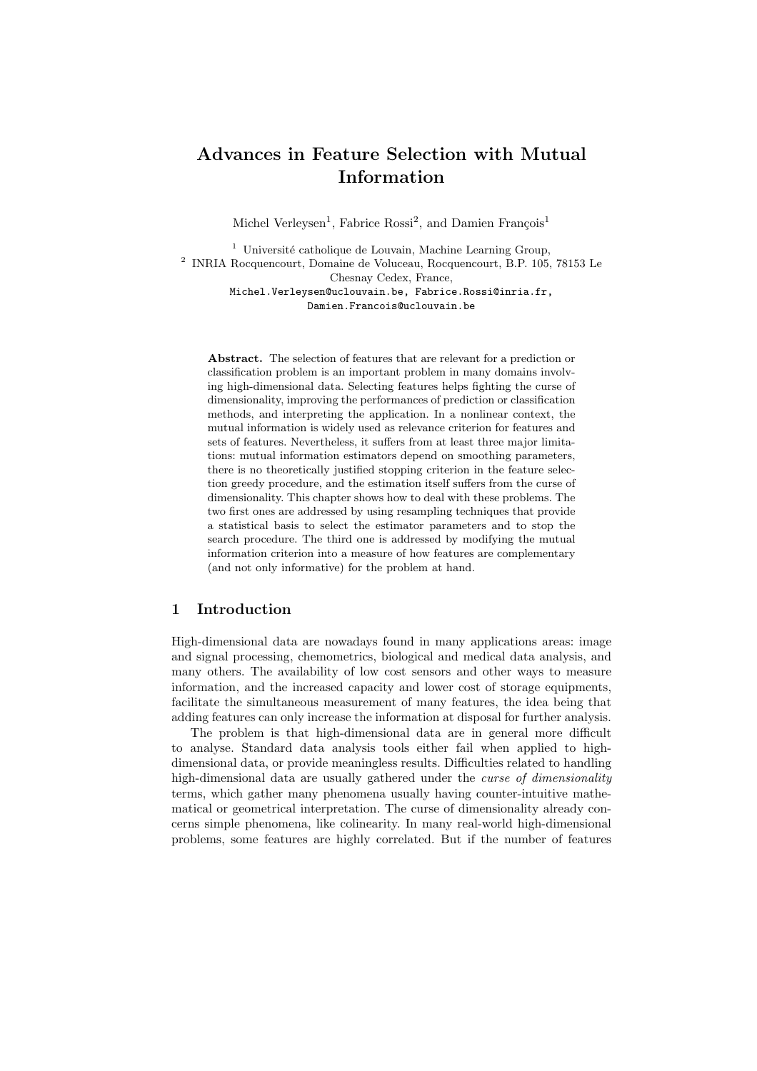# Advances in Feature Selection with Mutual Information

Michel Verleysen<sup>1</sup>, Fabrice Rossi<sup>2</sup>, and Damien François<sup>1</sup>

 $1$  Université catholique de Louvain, Machine Learning Group. 2 INRIA Rocquencourt, Domaine de Voluceau, Rocquencourt, B.P. 105, 78153 Le Chesnay Cedex, France, Michel.Verleysen@uclouvain.be, Fabrice.Rossi@inria.fr, Damien.Francois@uclouvain.be

Abstract. The selection of features that are relevant for a prediction or classification problem is an important problem in many domains involving high-dimensional data. Selecting features helps fighting the curse of dimensionality, improving the performances of prediction or classification methods, and interpreting the application. In a nonlinear context, the mutual information is widely used as relevance criterion for features and sets of features. Nevertheless, it suffers from at least three major limitations: mutual information estimators depend on smoothing parameters, there is no theoretically justified stopping criterion in the feature selection greedy procedure, and the estimation itself suffers from the curse of dimensionality. This chapter shows how to deal with these problems. The two first ones are addressed by using resampling techniques that provide a statistical basis to select the estimator parameters and to stop the search procedure. The third one is addressed by modifying the mutual information criterion into a measure of how features are complementary (and not only informative) for the problem at hand.

# 1 Introduction

High-dimensional data are nowadays found in many applications areas: image and signal processing, chemometrics, biological and medical data analysis, and many others. The availability of low cost sensors and other ways to measure information, and the increased capacity and lower cost of storage equipments, facilitate the simultaneous measurement of many features, the idea being that adding features can only increase the information at disposal for further analysis.

The problem is that high-dimensional data are in general more difficult to analyse. Standard data analysis tools either fail when applied to highdimensional data, or provide meaningless results. Difficulties related to handling high-dimensional data are usually gathered under the curse of dimensionality terms, which gather many phenomena usually having counter-intuitive mathematical or geometrical interpretation. The curse of dimensionality already concerns simple phenomena, like colinearity. In many real-world high-dimensional problems, some features are highly correlated. But if the number of features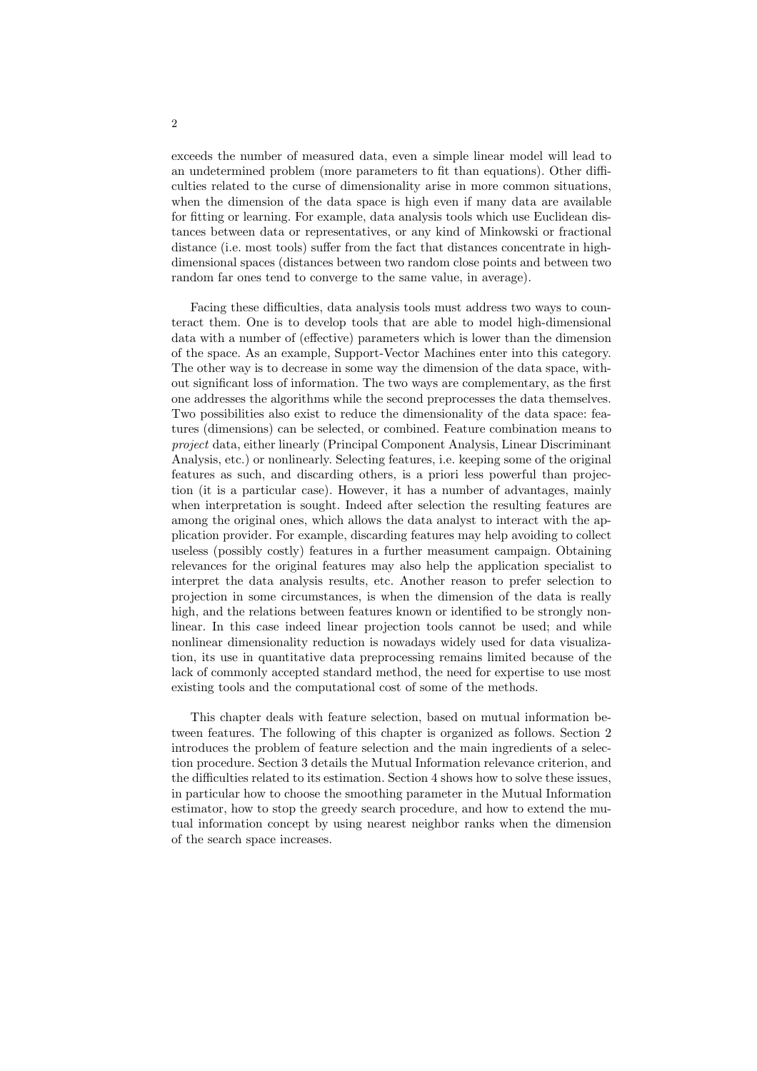exceeds the number of measured data, even a simple linear model will lead to an undetermined problem (more parameters to fit than equations). Other difficulties related to the curse of dimensionality arise in more common situations, when the dimension of the data space is high even if many data are available for fitting or learning. For example, data analysis tools which use Euclidean distances between data or representatives, or any kind of Minkowski or fractional distance (i.e. most tools) suffer from the fact that distances concentrate in highdimensional spaces (distances between two random close points and between two random far ones tend to converge to the same value, in average).

Facing these difficulties, data analysis tools must address two ways to counteract them. One is to develop tools that are able to model high-dimensional data with a number of (effective) parameters which is lower than the dimension of the space. As an example, Support-Vector Machines enter into this category. The other way is to decrease in some way the dimension of the data space, without significant loss of information. The two ways are complementary, as the first one addresses the algorithms while the second preprocesses the data themselves. Two possibilities also exist to reduce the dimensionality of the data space: features (dimensions) can be selected, or combined. Feature combination means to project data, either linearly (Principal Component Analysis, Linear Discriminant Analysis, etc.) or nonlinearly. Selecting features, i.e. keeping some of the original features as such, and discarding others, is a priori less powerful than projection (it is a particular case). However, it has a number of advantages, mainly when interpretation is sought. Indeed after selection the resulting features are among the original ones, which allows the data analyst to interact with the application provider. For example, discarding features may help avoiding to collect useless (possibly costly) features in a further measument campaign. Obtaining relevances for the original features may also help the application specialist to interpret the data analysis results, etc. Another reason to prefer selection to projection in some circumstances, is when the dimension of the data is really high, and the relations between features known or identified to be strongly nonlinear. In this case indeed linear projection tools cannot be used; and while nonlinear dimensionality reduction is nowadays widely used for data visualization, its use in quantitative data preprocessing remains limited because of the lack of commonly accepted standard method, the need for expertise to use most existing tools and the computational cost of some of the methods.

This chapter deals with feature selection, based on mutual information between features. The following of this chapter is organized as follows. Section 2 introduces the problem of feature selection and the main ingredients of a selection procedure. Section 3 details the Mutual Information relevance criterion, and the difficulties related to its estimation. Section 4 shows how to solve these issues, in particular how to choose the smoothing parameter in the Mutual Information estimator, how to stop the greedy search procedure, and how to extend the mutual information concept by using nearest neighbor ranks when the dimension of the search space increases.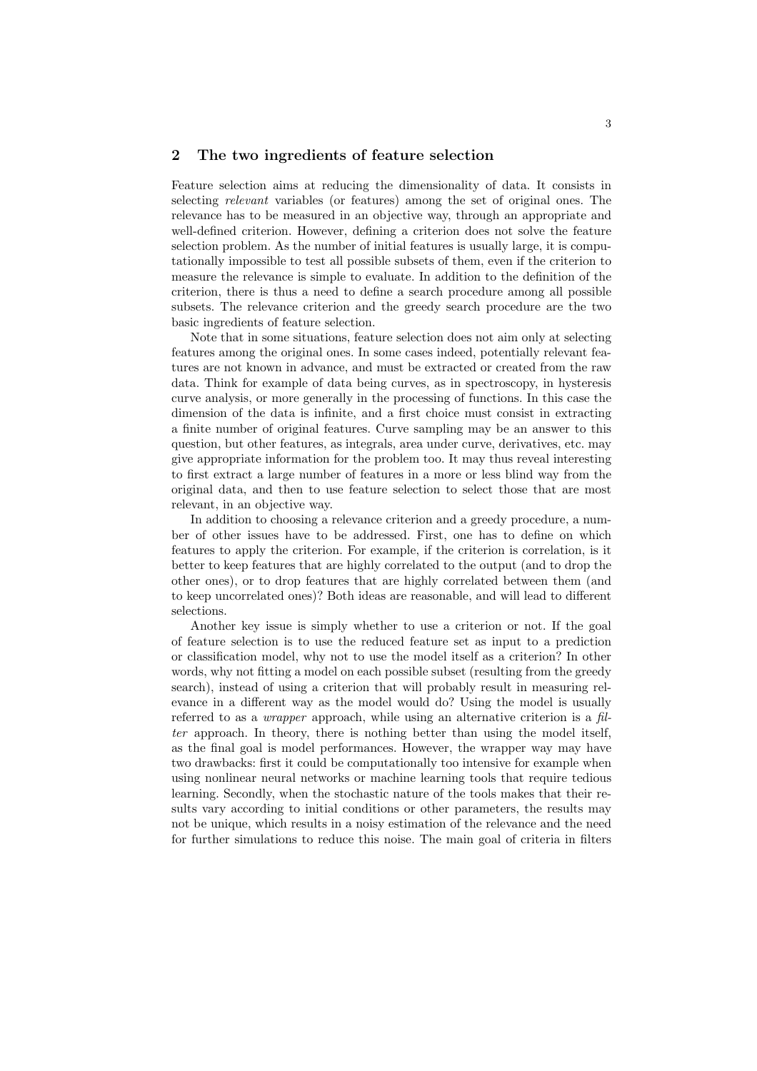## 2 The two ingredients of feature selection

Feature selection aims at reducing the dimensionality of data. It consists in selecting relevant variables (or features) among the set of original ones. The relevance has to be measured in an objective way, through an appropriate and well-defined criterion. However, defining a criterion does not solve the feature selection problem. As the number of initial features is usually large, it is computationally impossible to test all possible subsets of them, even if the criterion to measure the relevance is simple to evaluate. In addition to the definition of the criterion, there is thus a need to define a search procedure among all possible subsets. The relevance criterion and the greedy search procedure are the two basic ingredients of feature selection.

Note that in some situations, feature selection does not aim only at selecting features among the original ones. In some cases indeed, potentially relevant features are not known in advance, and must be extracted or created from the raw data. Think for example of data being curves, as in spectroscopy, in hysteresis curve analysis, or more generally in the processing of functions. In this case the dimension of the data is infinite, and a first choice must consist in extracting a finite number of original features. Curve sampling may be an answer to this question, but other features, as integrals, area under curve, derivatives, etc. may give appropriate information for the problem too. It may thus reveal interesting to first extract a large number of features in a more or less blind way from the original data, and then to use feature selection to select those that are most relevant, in an objective way.

In addition to choosing a relevance criterion and a greedy procedure, a number of other issues have to be addressed. First, one has to define on which features to apply the criterion. For example, if the criterion is correlation, is it better to keep features that are highly correlated to the output (and to drop the other ones), or to drop features that are highly correlated between them (and to keep uncorrelated ones)? Both ideas are reasonable, and will lead to different selections.

Another key issue is simply whether to use a criterion or not. If the goal of feature selection is to use the reduced feature set as input to a prediction or classification model, why not to use the model itself as a criterion? In other words, why not fitting a model on each possible subset (resulting from the greedy search), instead of using a criterion that will probably result in measuring relevance in a different way as the model would do? Using the model is usually referred to as a wrapper approach, while using an alternative criterion is a filter approach. In theory, there is nothing better than using the model itself, as the final goal is model performances. However, the wrapper way may have two drawbacks: first it could be computationally too intensive for example when using nonlinear neural networks or machine learning tools that require tedious learning. Secondly, when the stochastic nature of the tools makes that their results vary according to initial conditions or other parameters, the results may not be unique, which results in a noisy estimation of the relevance and the need for further simulations to reduce this noise. The main goal of criteria in filters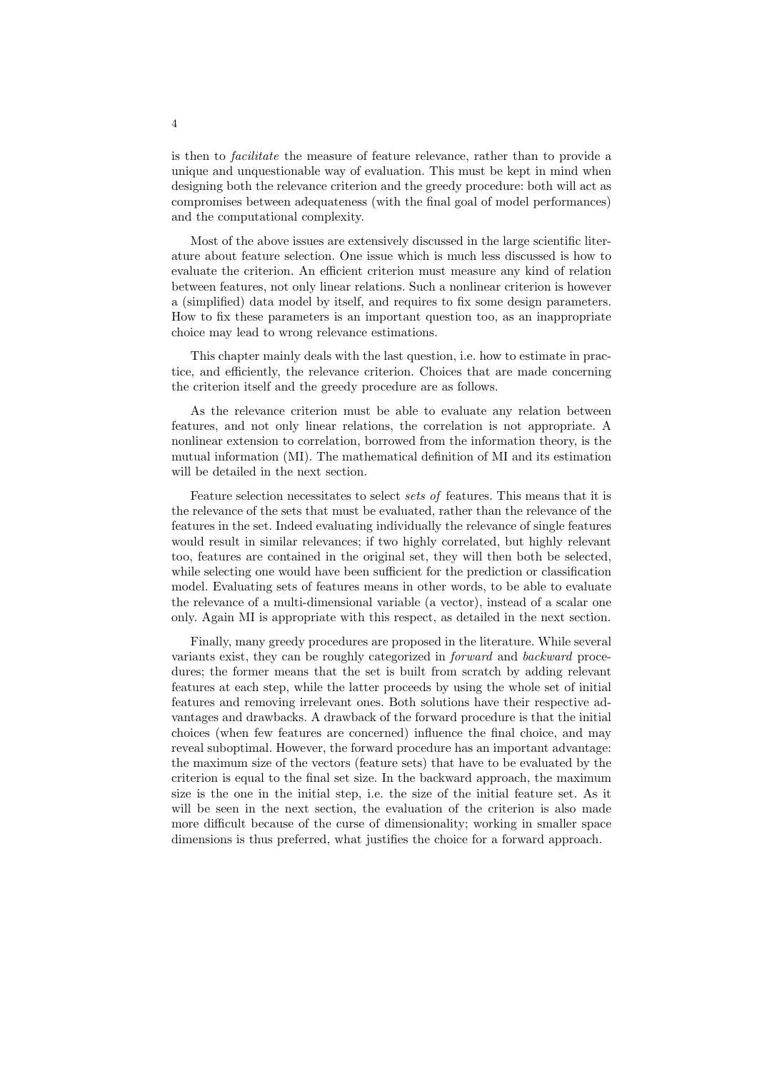is then to facilitate the measure of feature relevance, rather than to provide a unique and unquestionable way of evaluation. This must be kept in mind when designing both the relevance criterion and the greedy procedure: both will act as compromises between adequateness (with the final goal of model performances) and the computational complexity.

Most of the above issues are extensively discussed in the large scientific literature about feature selection. One issue which is much less discussed is how to evaluate the criterion. An efficient criterion must measure any kind of relation between features, not only linear relations. Such a nonlinear criterion is however a (simplified) data model by itself, and requires to fix some design parameters. How to fix these parameters is an important question too, as an inappropriate choice may lead to wrong relevance estimations.

This chapter mainly deals with the last question, i.e. how to estimate in practice, and efficiently, the relevance criterion. Choices that are made concerning the criterion itself and the greedy procedure are as follows.

As the relevance criterion must be able to evaluate any relation between features, and not only linear relations, the correlation is not appropriate. A nonlinear extension to correlation, borrowed from the information theory, is the mutual information (MI). The mathematical definition of MI and its estimation will be detailed in the next section.

Feature selection necessitates to select sets of features. This means that it is the relevance of the sets that must be evaluated, rather than the relevance of the features in the set. Indeed evaluating individually the relevance of single features would result in similar relevances; if two highly correlated, but highly relevant too, features are contained in the original set, they will then both be selected, while selecting one would have been sufficient for the prediction or classification model. Evaluating sets of features means in other words, to be able to evaluate the relevance of a multi-dimensional variable (a vector), instead of a scalar one only. Again MI is appropriate with this respect, as detailed in the next section.

Finally, many greedy procedures are proposed in the literature. While several variants exist, they can be roughly categorized in forward and backward procedures; the former means that the set is built from scratch by adding relevant features at each step, while the latter proceeds by using the whole set of initial features and removing irrelevant ones. Both solutions have their respective advantages and drawbacks. A drawback of the forward procedure is that the initial choices (when few features are concerned) influence the final choice, and may reveal suboptimal. However, the forward procedure has an important advantage: the maximum size of the vectors (feature sets) that have to be evaluated by the criterion is equal to the final set size. In the backward approach, the maximum size is the one in the initial step, i.e. the size of the initial feature set. As it will be seen in the next section, the evaluation of the criterion is also made more difficult because of the curse of dimensionality; working in smaller space dimensions is thus preferred, what justifies the choice for a forward approach.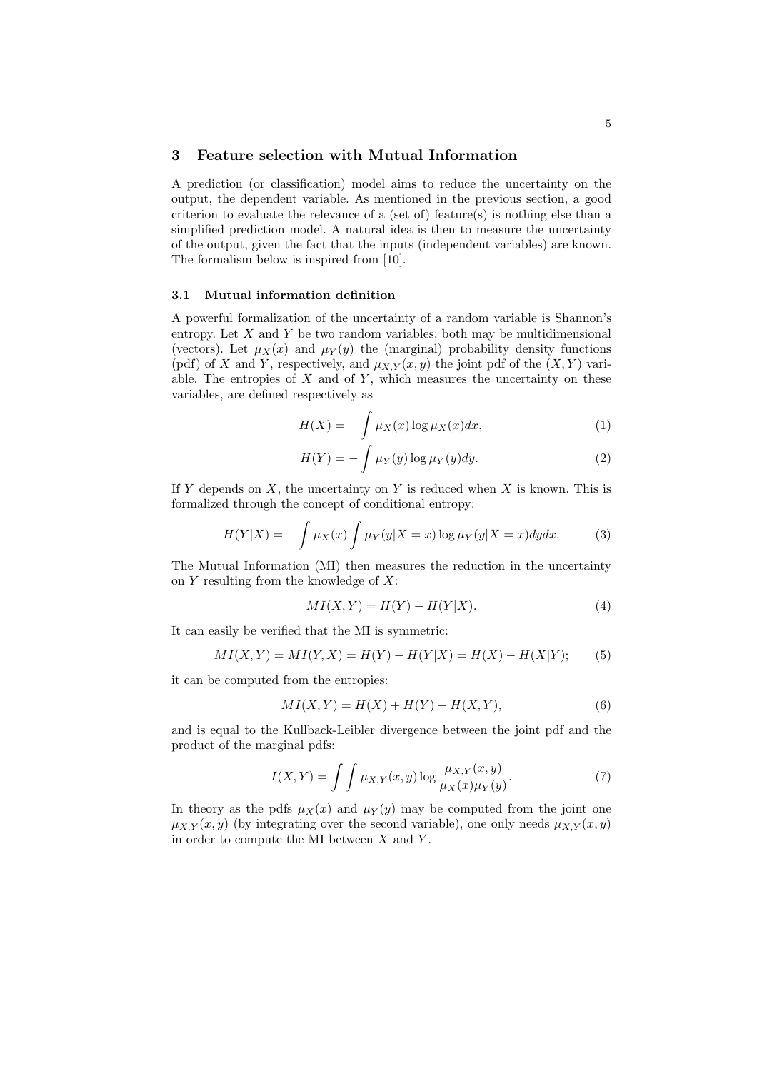# 3 Feature selection with Mutual Information

A prediction (or classification) model aims to reduce the uncertainty on the output, the dependent variable. As mentioned in the previous section, a good criterion to evaluate the relevance of a (set of) feature(s) is nothing else than a simplified prediction model. A natural idea is then to measure the uncertainty of the output, given the fact that the inputs (independent variables) are known. The formalism below is inspired from [10].

#### 3.1 Mutual information definition

A powerful formalization of the uncertainty of a random variable is Shannon's entropy. Let  $X$  and  $Y$  be two random variables; both may be multidimensional (vectors). Let  $\mu_X(x)$  and  $\mu_Y(y)$  the (marginal) probability density functions (pdf) of X and Y, respectively, and  $\mu_{X,Y}(x,y)$  the joint pdf of the  $(X,Y)$  variable. The entropies of  $X$  and of  $Y$ , which measures the uncertainty on these variables, are defined respectively as

$$
H(X) = -\int \mu_X(x) \log \mu_X(x) dx,
$$
 (1)

$$
H(Y) = -\int \mu_Y(y) \log \mu_Y(y) dy.
$$
 (2)

If Y depends on X, the uncertainty on Y is reduced when X is known. This is formalized through the concept of conditional entropy:

$$
H(Y|X) = -\int \mu_X(x) \int \mu_Y(y|X=x) \log \mu_Y(y|X=x) dy dx.
$$
 (3)

The Mutual Information (MI) then measures the reduction in the uncertainty on  $Y$  resulting from the knowledge of  $X$ :

$$
MI(X,Y) = H(Y) - H(Y|X).
$$
\n<sup>(4)</sup>

It can easily be verified that the MI is symmetric:

$$
MI(X,Y) = MI(Y,X) = H(Y) - H(Y|X) = H(X) - H(X|Y); \tag{5}
$$

it can be computed from the entropies:

$$
MI(X,Y) = H(X) + H(Y) - H(X,Y),
$$
\n(6)

and is equal to the Kullback-Leibler divergence between the joint pdf and the product of the marginal pdfs:

$$
I(X,Y) = \int \int \mu_{X,Y}(x,y) \log \frac{\mu_{X,Y}(x,y)}{\mu_X(x)\mu_Y(y)}.
$$
 (7)

In theory as the pdfs  $\mu_X(x)$  and  $\mu_Y(y)$  may be computed from the joint one  $\mu_{X,Y}(x,y)$  (by integrating over the second variable), one only needs  $\mu_{X,Y}(x,y)$ in order to compute the MI between  $X$  and  $Y$ .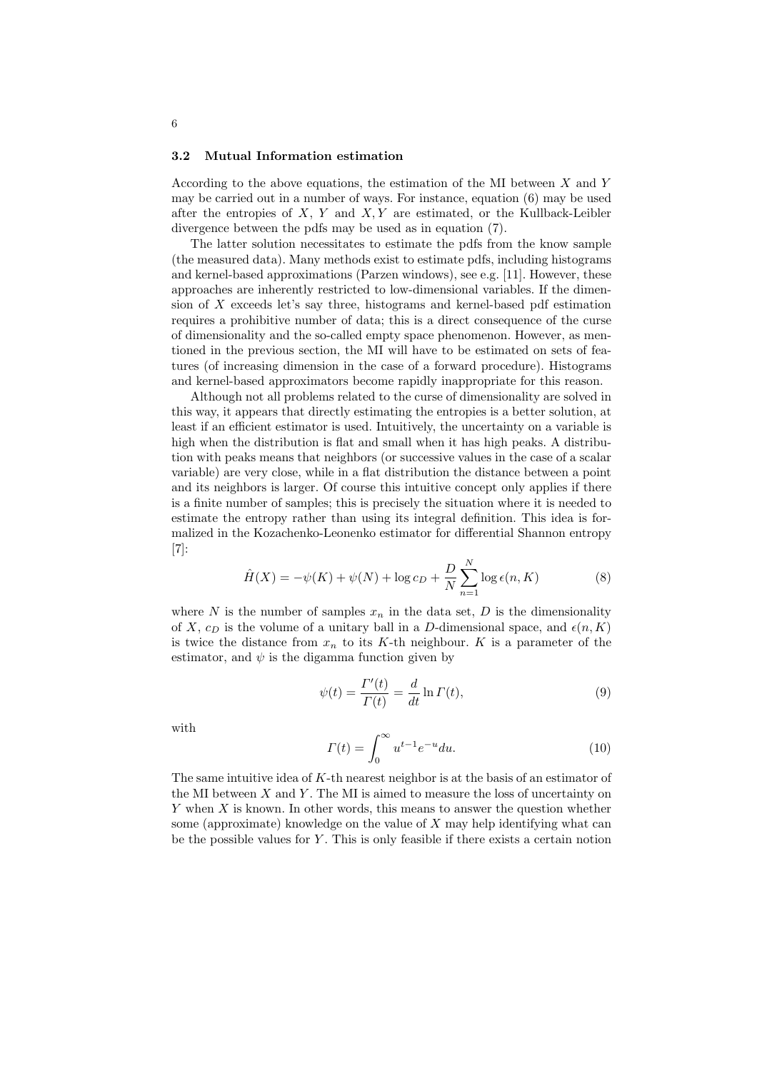#### 3.2 Mutual Information estimation

According to the above equations, the estimation of the MI between  $X$  and  $Y$ may be carried out in a number of ways. For instance, equation (6) may be used after the entropies of  $X, Y$  and  $X, Y$  are estimated, or the Kullback-Leibler divergence between the pdfs may be used as in equation (7).

The latter solution necessitates to estimate the pdfs from the know sample (the measured data). Many methods exist to estimate pdfs, including histograms and kernel-based approximations (Parzen windows), see e.g. [11]. However, these approaches are inherently restricted to low-dimensional variables. If the dimension of X exceeds let's say three, histograms and kernel-based pdf estimation requires a prohibitive number of data; this is a direct consequence of the curse of dimensionality and the so-called empty space phenomenon. However, as mentioned in the previous section, the MI will have to be estimated on sets of features (of increasing dimension in the case of a forward procedure). Histograms and kernel-based approximators become rapidly inappropriate for this reason.

Although not all problems related to the curse of dimensionality are solved in this way, it appears that directly estimating the entropies is a better solution, at least if an efficient estimator is used. Intuitively, the uncertainty on a variable is high when the distribution is flat and small when it has high peaks. A distribution with peaks means that neighbors (or successive values in the case of a scalar variable) are very close, while in a flat distribution the distance between a point and its neighbors is larger. Of course this intuitive concept only applies if there is a finite number of samples; this is precisely the situation where it is needed to estimate the entropy rather than using its integral definition. This idea is formalized in the Kozachenko-Leonenko estimator for differential Shannon entropy [7]:

$$
\hat{H}(X) = -\psi(K) + \psi(N) + \log c_D + \frac{D}{N} \sum_{n=1}^{N} \log \epsilon(n, K)
$$
 (8)

where N is the number of samples  $x_n$  in the data set, D is the dimensionality of X,  $c_D$  is the volume of a unitary ball in a D-dimensional space, and  $\epsilon(n,K)$ is twice the distance from  $x_n$  to its K-th neighbour. K is a parameter of the estimator, and  $\psi$  is the digamma function given by

$$
\psi(t) = \frac{\Gamma'(t)}{\Gamma(t)} = \frac{d}{dt} \ln \Gamma(t),\tag{9}
$$

with

$$
\Gamma(t) = \int_0^\infty u^{t-1} e^{-u} du.
$$
\n(10)

The same intuitive idea of  $K$ -th nearest neighbor is at the basis of an estimator of the MI between  $X$  and  $Y$ . The MI is aimed to measure the loss of uncertainty on Y when  $X$  is known. In other words, this means to answer the question whether some (approximate) knowledge on the value of  $X$  may help identifying what can be the possible values for  $Y$ . This is only feasible if there exists a certain notion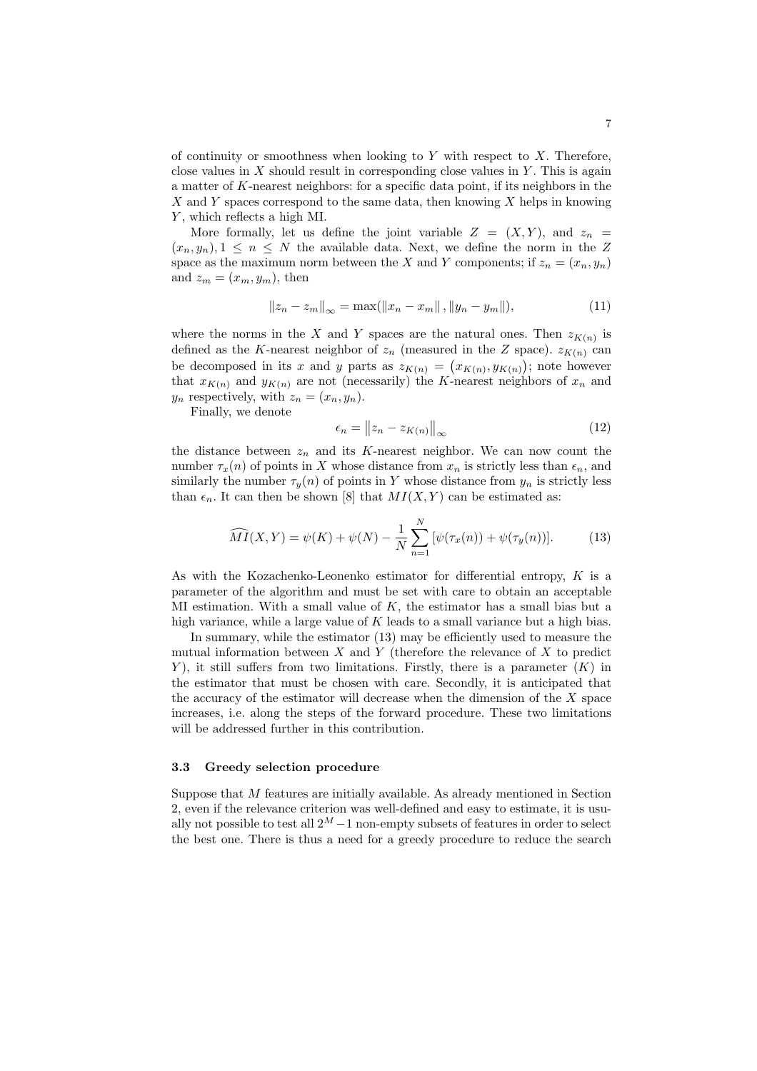of continuity or smoothness when looking to Y with respect to X. Therefore, close values in X should result in corresponding close values in Y. This is again a matter of K-nearest neighbors: for a specific data point, if its neighbors in the  $X$  and Y spaces correspond to the same data, then knowing  $X$  helps in knowing Y, which reflects a high MI.

More formally, let us define the joint variable  $Z = (X, Y)$ , and  $z_n =$  $(x_n,y_n), 1 \leq n \leq N$  the available data. Next, we define the norm in the Z space as the maximum norm between the X and Y components; if  $z_n = (x_n, y_n)$ and  $z_m = (x_m, y_m)$ , then

$$
||z_n - z_m||_{\infty} = \max(||x_n - x_m||, ||y_n - y_m||),
$$
\n(11)

where the norms in the X and Y spaces are the natural ones. Then  $z_{K(n)}$  is defined as the K-nearest neighbor of  $z_n$  (measured in the Z space).  $z_{K(n)}$  can be decomposed in its x and y parts as  $z_{K(n)} = (x_{K(n)}, y_{K(n)})$ ; note however that  $x_{K(n)}$  and  $y_{K(n)}$  are not (necessarily) the K-nearest neighbors of  $x_n$  and  $y_n$  respectively, with  $z_n = (x_n, y_n)$ .

Finally, we denote

$$
\epsilon_n = ||z_n - z_{K(n)}||_{\infty} \tag{12}
$$

the distance between  $z_n$  and its K-nearest neighbor. We can now count the number  $\tau_x(n)$  of points in X whose distance from  $x_n$  is strictly less than  $\epsilon_n$ , and similarly the number  $\tau_y(n)$  of points in Y whose distance from  $y_n$  is strictly less than  $\epsilon_n$ . It can then be shown [8] that  $MI(X, Y)$  can be estimated as:

$$
\widehat{MI}(X,Y) = \psi(K) + \psi(N) - \frac{1}{N} \sum_{n=1}^{N} [\psi(\tau_x(n)) + \psi(\tau_y(n))]. \tag{13}
$$

As with the Kozachenko-Leonenko estimator for differential entropy,  $K$  is a parameter of the algorithm and must be set with care to obtain an acceptable MI estimation. With a small value of  $K$ , the estimator has a small bias but a high variance, while a large value of  $K$  leads to a small variance but a high bias.

In summary, while the estimator (13) may be efficiently used to measure the mutual information between  $X$  and  $Y$  (therefore the relevance of  $X$  to predict Y), it still suffers from two limitations. Firstly, there is a parameter  $(K)$  in the estimator that must be chosen with care. Secondly, it is anticipated that the accuracy of the estimator will decrease when the dimension of the  $X$  space increases, i.e. along the steps of the forward procedure. These two limitations will be addressed further in this contribution.

### 3.3 Greedy selection procedure

Suppose that M features are initially available. As already mentioned in Section 2, even if the relevance criterion was well-defined and easy to estimate, it is usually not possible to test all  $2^M - 1$  non-empty subsets of features in order to select the best one. There is thus a need for a greedy procedure to reduce the search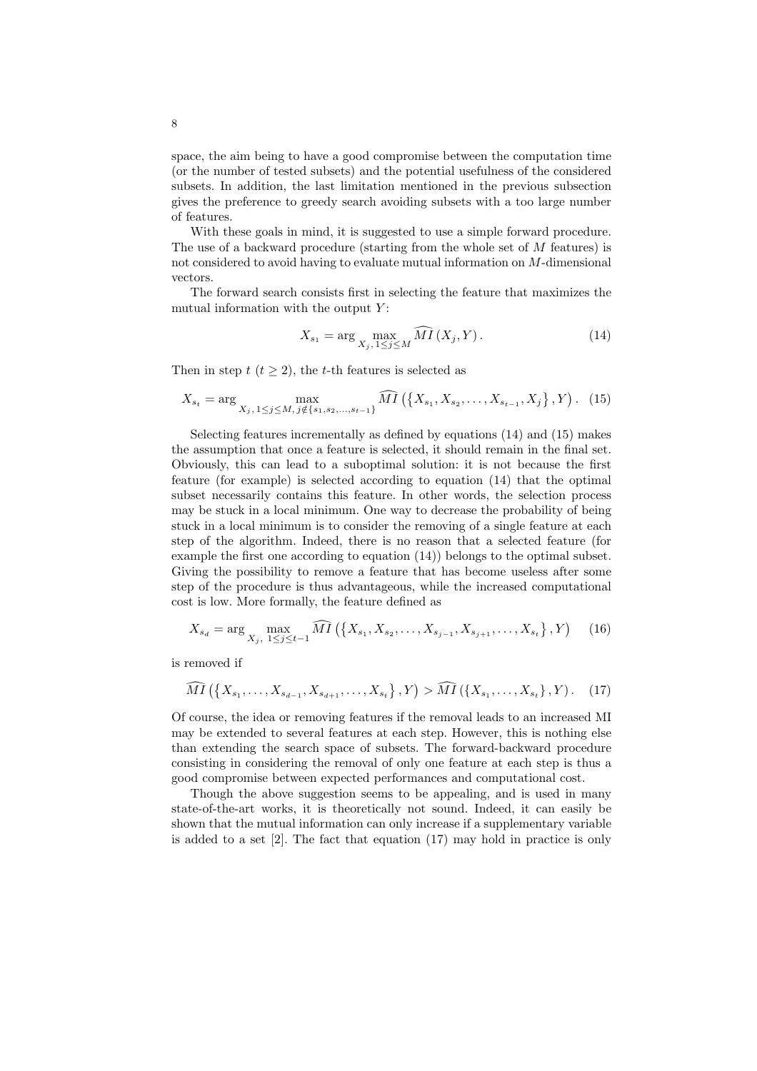space, the aim being to have a good compromise between the computation time (or the number of tested subsets) and the potential usefulness of the considered subsets. In addition, the last limitation mentioned in the previous subsection gives the preference to greedy search avoiding subsets with a too large number of features.

With these goals in mind, it is suggested to use a simple forward procedure. The use of a backward procedure (starting from the whole set of M features) is not considered to avoid having to evaluate mutual information on M-dimensional vectors.

The forward search consists first in selecting the feature that maximizes the mutual information with the output  $Y$ :

$$
X_{s_1} = \arg\max_{X_j, 1 \le j \le M} \widehat{MI}(X_j, Y). \tag{14}
$$

Then in step  $t$   $(t \geq 2)$ , the t-th features is selected as

$$
X_{s_t} = \arg\max_{X_j, 1 \le j \le M, j \notin \{s_1, s_2, \dots, s_{t-1}\}} \widehat{MI}\left(\left\{X_{s_1}, X_{s_2}, \dots, X_{s_{t-1}}, X_j\right\}, Y\right). \tag{15}
$$

Selecting features incrementally as defined by equations (14) and (15) makes the assumption that once a feature is selected, it should remain in the final set. Obviously, this can lead to a suboptimal solution: it is not because the first feature (for example) is selected according to equation (14) that the optimal subset necessarily contains this feature. In other words, the selection process may be stuck in a local minimum. One way to decrease the probability of being stuck in a local minimum is to consider the removing of a single feature at each step of the algorithm. Indeed, there is no reason that a selected feature (for example the first one according to equation (14)) belongs to the optimal subset. Giving the possibility to remove a feature that has become useless after some step of the procedure is thus advantageous, while the increased computational cost is low. More formally, the feature defined as

$$
X_{s_d} = \arg\max_{X_j, \ 1 \le j \le t-1} \widehat{MI}\left(\left\{X_{s_1}, X_{s_2}, \dots, X_{s_{j-1}}, X_{s_{j+1}}, \dots, X_{s_t}\right\}, Y\right) \tag{16}
$$

is removed if

$$
\widehat{MI}\left(\left\{X_{s_1},\ldots,X_{s_{d-1}},X_{s_{d+1}},\ldots,X_{s_t}\right\},Y\right) > \widehat{MI}\left(\left\{X_{s_1},\ldots,X_{s_t}\right\},Y\right). \tag{17}
$$

Of course, the idea or removing features if the removal leads to an increased MI may be extended to several features at each step. However, this is nothing else than extending the search space of subsets. The forward-backward procedure consisting in considering the removal of only one feature at each step is thus a good compromise between expected performances and computational cost.

Though the above suggestion seems to be appealing, and is used in many state-of-the-art works, it is theoretically not sound. Indeed, it can easily be shown that the mutual information can only increase if a supplementary variable is added to a set [2]. The fact that equation (17) may hold in practice is only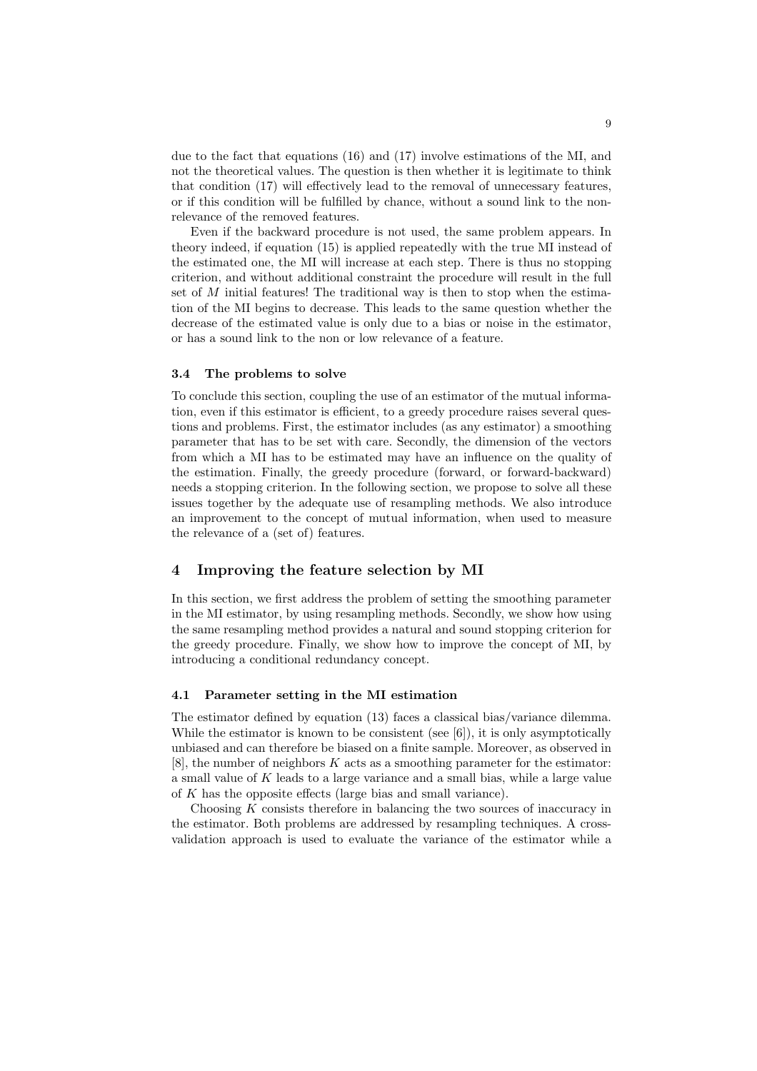due to the fact that equations (16) and (17) involve estimations of the MI, and not the theoretical values. The question is then whether it is legitimate to think that condition (17) will effectively lead to the removal of unnecessary features, or if this condition will be fulfilled by chance, without a sound link to the nonrelevance of the removed features.

Even if the backward procedure is not used, the same problem appears. In theory indeed, if equation (15) is applied repeatedly with the true MI instead of the estimated one, the MI will increase at each step. There is thus no stopping criterion, and without additional constraint the procedure will result in the full set of  $M$  initial features! The traditional way is then to stop when the estimation of the MI begins to decrease. This leads to the same question whether the decrease of the estimated value is only due to a bias or noise in the estimator, or has a sound link to the non or low relevance of a feature.

#### 3.4 The problems to solve

To conclude this section, coupling the use of an estimator of the mutual information, even if this estimator is efficient, to a greedy procedure raises several questions and problems. First, the estimator includes (as any estimator) a smoothing parameter that has to be set with care. Secondly, the dimension of the vectors from which a MI has to be estimated may have an influence on the quality of the estimation. Finally, the greedy procedure (forward, or forward-backward) needs a stopping criterion. In the following section, we propose to solve all these issues together by the adequate use of resampling methods. We also introduce an improvement to the concept of mutual information, when used to measure the relevance of a (set of) features.

### 4 Improving the feature selection by MI

In this section, we first address the problem of setting the smoothing parameter in the MI estimator, by using resampling methods. Secondly, we show how using the same resampling method provides a natural and sound stopping criterion for the greedy procedure. Finally, we show how to improve the concept of MI, by introducing a conditional redundancy concept.

#### 4.1 Parameter setting in the MI estimation

The estimator defined by equation (13) faces a classical bias/variance dilemma. While the estimator is known to be consistent (see [6]), it is only asymptotically unbiased and can therefore be biased on a finite sample. Moreover, as observed in  $[8]$ , the number of neighbors K acts as a smoothing parameter for the estimator: a small value of K leads to a large variance and a small bias, while a large value of K has the opposite effects (large bias and small variance).

Choosing K consists therefore in balancing the two sources of inaccuracy in the estimator. Both problems are addressed by resampling techniques. A crossvalidation approach is used to evaluate the variance of the estimator while a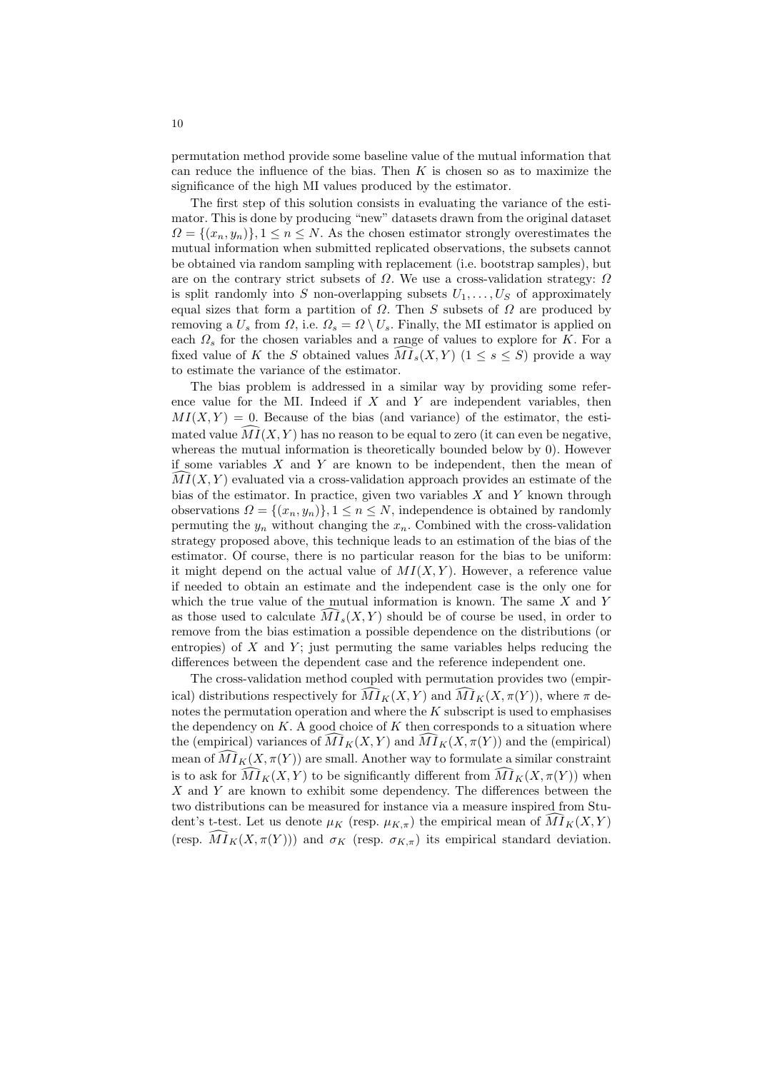permutation method provide some baseline value of the mutual information that can reduce the influence of the bias. Then  $K$  is chosen so as to maximize the significance of the high MI values produced by the estimator.

The first step of this solution consists in evaluating the variance of the estimator. This is done by producing "new" datasets drawn from the original dataset  $\Omega = \{(x_n, y_n)\}\,$ ,  $1 \leq n \leq N$ . As the chosen estimator strongly overestimates the mutual information when submitted replicated observations, the subsets cannot be obtained via random sampling with replacement (i.e. bootstrap samples), but are on the contrary strict subsets of  $\Omega$ . We use a cross-validation strategy:  $\Omega$ is split randomly into S non-overlapping subsets  $U_1, \ldots, U_S$  of approximately equal sizes that form a partition of  $\Omega$ . Then S subsets of  $\Omega$  are produced by removing a  $U_s$  from  $\Omega$ , i.e.  $\Omega_s = \Omega \setminus U_s$ . Finally, the MI estimator is applied on each  $\Omega_s$  for the chosen variables and a range of values to explore for K. For a fixed value of K the S obtained values  $\overline{M}_s(X,Y)$   $(1 \leq s \leq S)$  provide a way to estimate the variance of the estimator.

The bias problem is addressed in a similar way by providing some reference value for the MI. Indeed if  $X$  and  $Y$  are independent variables, then  $MI(X, Y) = 0$ . Because of the bias (and variance) of the estimator, the estimated value  $\overline{MI}(X,Y)$  has no reason to be equal to zero (it can even be negative, whereas the mutual information is theoretically bounded below by 0). However if some variables  $X$  and  $Y$  are known to be independent, then the mean of  $MI(X, Y)$  evaluated via a cross-validation approach provides an estimate of the bias of the estimator. In practice, given two variables  $X$  and  $Y$  known through observations  $\Omega = \{(x_n, y_n)\}\,$ ,  $1 \leq n \leq N$ , independence is obtained by randomly permuting the  $y_n$  without changing the  $x_n$ . Combined with the cross-validation strategy proposed above, this technique leads to an estimation of the bias of the estimator. Of course, there is no particular reason for the bias to be uniform: it might depend on the actual value of  $MI(X, Y)$ . However, a reference value if needed to obtain an estimate and the independent case is the only one for which the true value of the mutual information is known. The same  $X$  and  $Y$ as those used to calculate  $\overline{M}I_s(X,Y)$  should be of course be used, in order to remove from the bias estimation a possible dependence on the distributions (or entropies) of  $X$  and  $Y$ ; just permuting the same variables helps reducing the differences between the dependent case and the reference independent one.

The cross-validation method coupled with permutation provides two (empirical) distributions respectively for  $\widehat{MI}_K(X,Y)$  and  $\widehat{MI}_K(X,\pi(Y))$ , where  $\pi$  denotes the permutation operation and where the  $K$  subscript is used to emphasises the dependency on  $K$ . A good choice of  $K$  then corresponds to a situation where the (empirical) variances of  $\widehat{M}I_K(X,Y)$  and  $\widehat{MI}_K(X,\pi(Y))$  and the (empirical) mean of  $\widehat{M}I_K(X,\pi(Y))$  are small. Another way to formulate a similar constraint is to ask for  $\widehat{MI}_K(X,Y)$  to be significantly different from  $\widehat{MI}_K(X,\pi(Y))$  when  $X$  and  $Y$  are known to exhibit some dependency. The differences between the two distributions can be measured for instance via a measure inspired from Student's t-test. Let us denote  $\mu_K$  (resp.  $\mu_{K,\pi}$ ) the empirical mean of  $MI_K(X,Y)$ (resp.  $\widehat{MI}_K(X,\pi(Y))$ ) and  $\sigma_K$  (resp.  $\sigma_{K,\pi}$ ) its empirical standard deviation.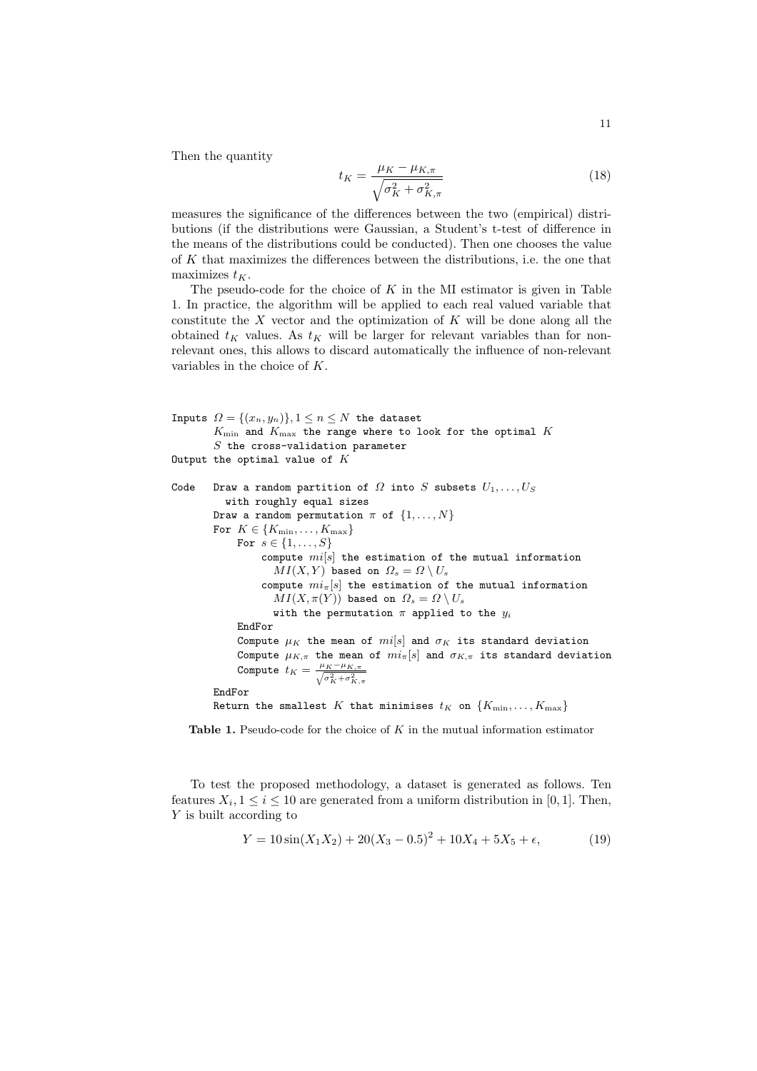Then the quantity

$$
t_K = \frac{\mu_K - \mu_{K,\pi}}{\sqrt{\sigma_K^2 + \sigma_{K,\pi}^2}}\tag{18}
$$

measures the significance of the differences between the two (empirical) distributions (if the distributions were Gaussian, a Student's t-test of difference in the means of the distributions could be conducted). Then one chooses the value of K that maximizes the differences between the distributions, i.e. the one that maximizes  $t_K$ .

The pseudo-code for the choice of  $K$  in the MI estimator is given in Table 1. In practice, the algorithm will be applied to each real valued variable that constitute the  $X$  vector and the optimization of  $K$  will be done along all the obtained  $t_K$  values. As  $t_K$  will be larger for relevant variables than for nonrelevant ones, this allows to discard automatically the influence of non-relevant variables in the choice of K.

```
Inputs \Omega = \{(x_n, y_n)\}, 1 \leq n \leq N the dataset
         K_{\text{min}} and K_{\text{max}} the range where to look for the optimal KS the cross-validation parameter
Output the optimal value of KCode Draw a random partition of \Omega into S subsets U_1, \ldots, U_Swith roughly equal sizes
         Draw a random permutation \pi of \{1, \ldots, N\}For K \in \{K_{\min}, \ldots, K_{\max}\}\For s \in \{1, \ldots, S\}compute mi[s] the estimation of the mutual information
                      MI(X, Y) based on \Omega_s = \Omega \setminus U_scompute mi_\pi[s] the estimation of the mutual information
                      MI(X, \pi(Y)) based on \Omega_s = \Omega \setminus U_swith the permutation \pi applied to the y_iEndFor
              Compute \mu_K the mean of mi[s] and \sigma_K its standard deviation
              Compute \mu_{K,\pi} the mean of mi_{\pi}[s] and \sigma_{K,\pi} its standard deviation
              Compute t_K = \frac{\mu_K - \mu_{K,\pi}}{\sqrt{\sigma^2 + \sigma^2}}\sigma_K^2 + \sigma_{K,\pi}^2EndFor
         Return the smallest K that minimises t_K on \{K_{\min},\ldots,K_{\max}\}
```
Table 1. Pseudo-code for the choice of  $K$  in the mutual information estimator

To test the proposed methodology, a dataset is generated as follows. Ten features  $X_i, 1 \leq i \leq 10$  are generated from a uniform distribution in [0, 1]. Then, Y is built according to

$$
Y = 10\sin(X_1X_2) + 20(X_3 - 0.5)^2 + 10X_4 + 5X_5 + \epsilon,
$$
\n(19)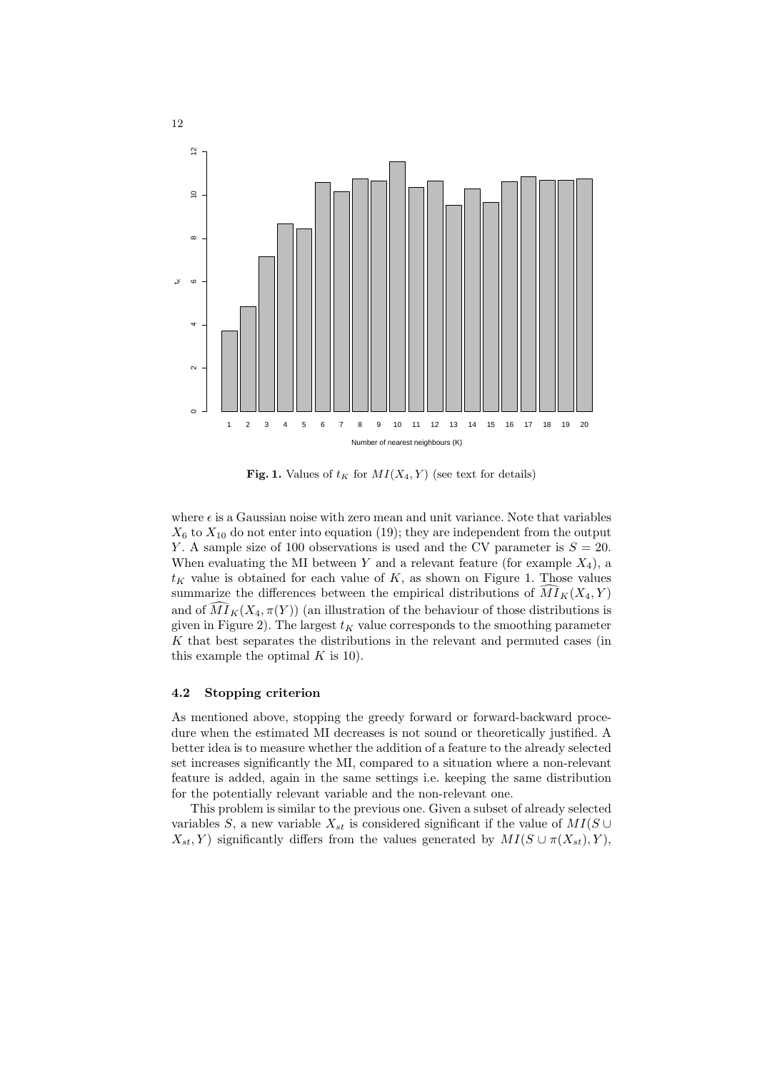

Fig. 1. Values of  $t_K$  for  $MI(X_4, Y)$  (see text for details)

where  $\epsilon$  is a Gaussian noise with zero mean and unit variance. Note that variables  $X_6$  to  $X_{10}$  do not enter into equation (19); they are independent from the output Y. A sample size of 100 observations is used and the CV parameter is  $S = 20$ . When evaluating the MI between Y and a relevant feature (for example  $X_4$ ), a  $t_K$  value is obtained for each value of K, as shown on Figure 1. Those values summarize the differences between the empirical distributions of  $\widehat{MI}_K(X_4, Y)$ and of  $\widehat{MI}_K(X_4,\pi(Y))$  (an illustration of the behaviour of those distributions is given in Figure 2). The largest  $t_K$  value corresponds to the smoothing parameter K that best separates the distributions in the relevant and permuted cases (in this example the optimal  $K$  is 10).

### 4.2 Stopping criterion

As mentioned above, stopping the greedy forward or forward-backward procedure when the estimated MI decreases is not sound or theoretically justified. A better idea is to measure whether the addition of a feature to the already selected set increases significantly the MI, compared to a situation where a non-relevant feature is added, again in the same settings i.e. keeping the same distribution for the potentially relevant variable and the non-relevant one.

This problem is similar to the previous one. Given a subset of already selected variables S, a new variable  $X_{st}$  is considered significant if the value of  $MI(S \cup$  $X_{st}$ , Y) significantly differs from the values generated by  $MI(S \cup \pi(X_{st}), Y)$ ,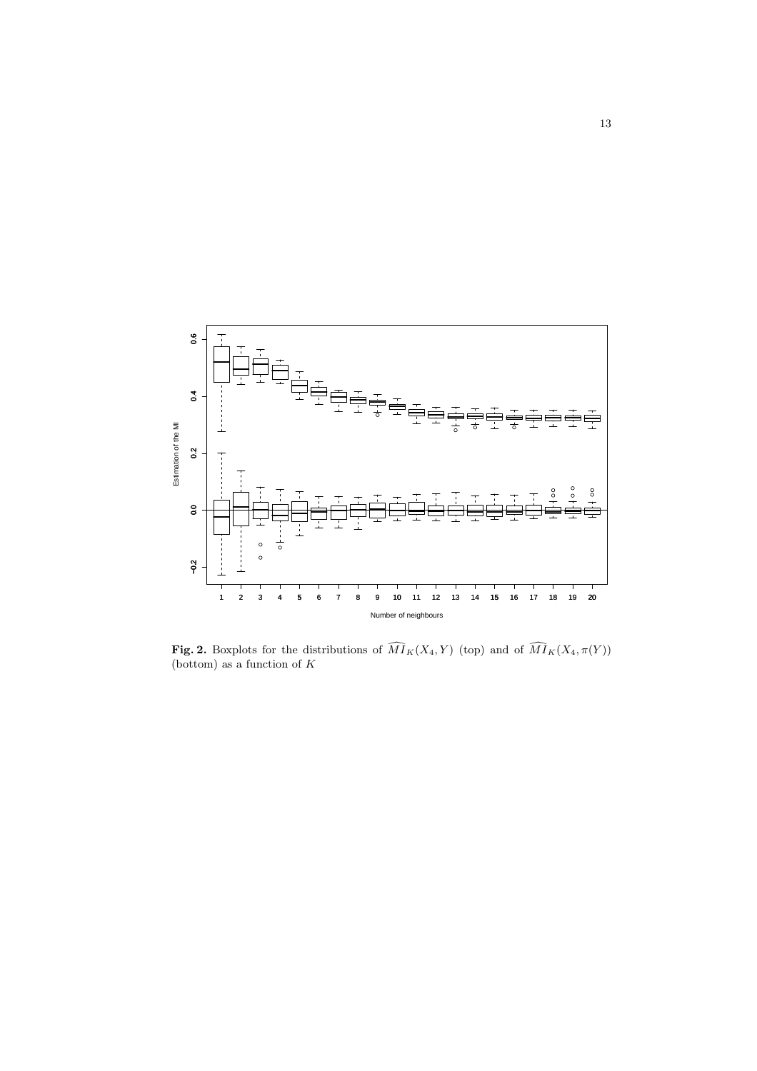

Fig. 2. Boxplots for the distributions of  $\widehat{MI}_K(X_4, Y)$  (top) and of  $\widehat{MI}_K(X_4, \pi(Y))$ (bottom) as a function of K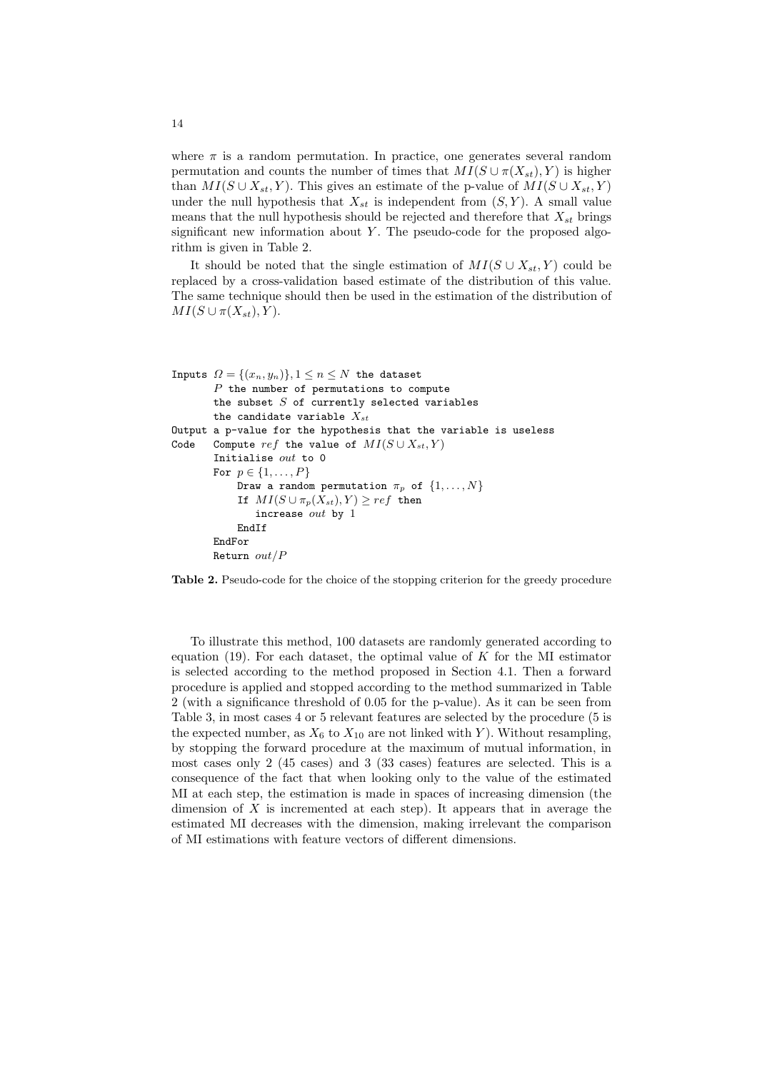where  $\pi$  is a random permutation. In practice, one generates several random permutation and counts the number of times that  $MI(S \cup \pi(X_{st}), Y)$  is higher than  $MI(S \cup X_{st}, Y)$ . This gives an estimate of the p-value of  $MI(S \cup X_{st}, Y)$ under the null hypothesis that  $X_{st}$  is independent from  $(S, Y)$ . A small value means that the null hypothesis should be rejected and therefore that  $X_{st}$  brings significant new information about  $Y$ . The pseudo-code for the proposed algorithm is given in Table 2.

It should be noted that the single estimation of  $MI(S \cup X_{st}, Y)$  could be replaced by a cross-validation based estimate of the distribution of this value. The same technique should then be used in the estimation of the distribution of  $MI(S \cup \pi(X_{st}), Y).$ 

```
Inputs \Omega = \{(x_n, y_n)\}, 1 \le n \le N the dataset
        P the number of permutations to compute
        the subset S of currently selected variables
       the candidate variable X_{st}Output a p-value for the hypothesis that the variable is useless
Code Compute ref the value of MI(S \cup X_{st}, Y)Initialise out to 0
       For p \in \{1, \ldots, P\}Draw a random permutation \pi_p of \{1, \ldots, N\}If MI(S \cup \pi_p(X_{st}), Y) \geq ref then
                increase out by 1
            EndIf
       EndFor
       Return out/P
```
Table 2. Pseudo-code for the choice of the stopping criterion for the greedy procedure

To illustrate this method, 100 datasets are randomly generated according to equation  $(19)$ . For each dataset, the optimal value of K for the MI estimator is selected according to the method proposed in Section 4.1. Then a forward procedure is applied and stopped according to the method summarized in Table 2 (with a significance threshold of 0.05 for the p-value). As it can be seen from Table 3, in most cases 4 or 5 relevant features are selected by the procedure (5 is the expected number, as  $X_6$  to  $X_{10}$  are not linked with Y). Without resampling, by stopping the forward procedure at the maximum of mutual information, in most cases only 2 (45 cases) and 3 (33 cases) features are selected. This is a consequence of the fact that when looking only to the value of the estimated MI at each step, the estimation is made in spaces of increasing dimension (the dimension of  $X$  is incremented at each step). It appears that in average the estimated MI decreases with the dimension, making irrelevant the comparison of MI estimations with feature vectors of different dimensions.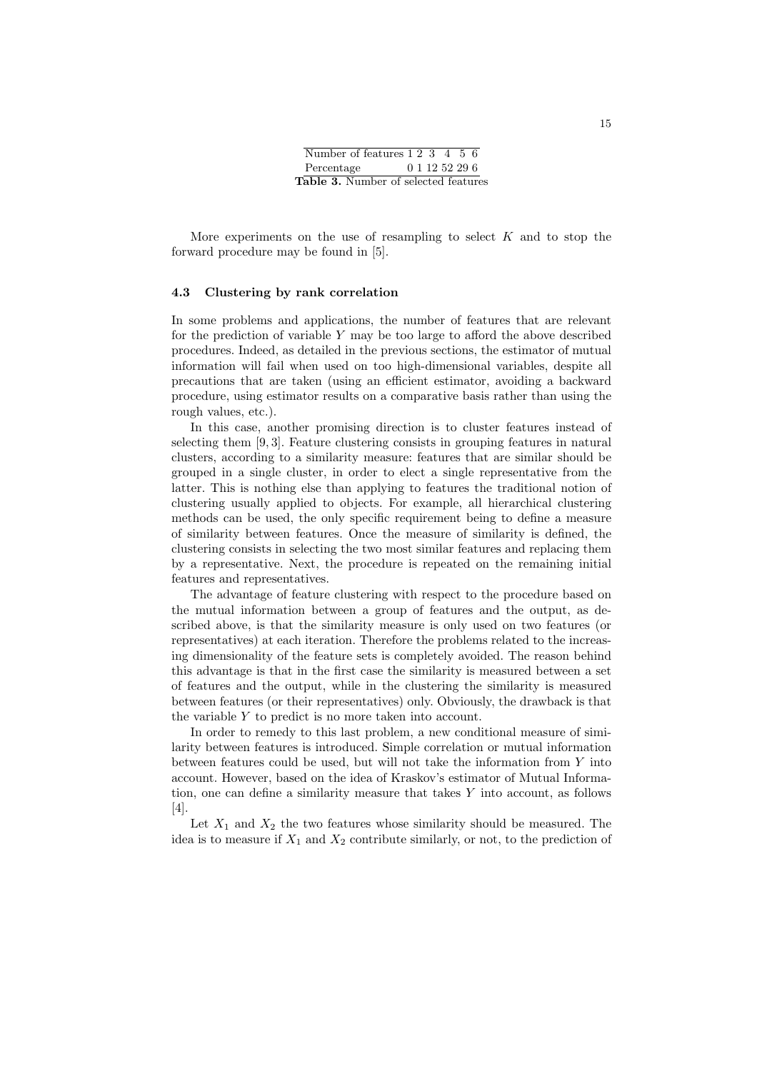| Number of features 1 2 3 4 5 6              |  |                |  |  |
|---------------------------------------------|--|----------------|--|--|
| Percentage                                  |  | 0 1 12 52 29 6 |  |  |
| <b>Table 3.</b> Number of selected features |  |                |  |  |

More experiments on the use of resampling to select  $K$  and to stop the forward procedure may be found in [5].

### 4.3 Clustering by rank correlation

In some problems and applications, the number of features that are relevant for the prediction of variable  $Y$  may be too large to afford the above described procedures. Indeed, as detailed in the previous sections, the estimator of mutual information will fail when used on too high-dimensional variables, despite all precautions that are taken (using an efficient estimator, avoiding a backward procedure, using estimator results on a comparative basis rather than using the rough values, etc.).

In this case, another promising direction is to cluster features instead of selecting them [9, 3]. Feature clustering consists in grouping features in natural clusters, according to a similarity measure: features that are similar should be grouped in a single cluster, in order to elect a single representative from the latter. This is nothing else than applying to features the traditional notion of clustering usually applied to objects. For example, all hierarchical clustering methods can be used, the only specific requirement being to define a measure of similarity between features. Once the measure of similarity is defined, the clustering consists in selecting the two most similar features and replacing them by a representative. Next, the procedure is repeated on the remaining initial features and representatives.

The advantage of feature clustering with respect to the procedure based on the mutual information between a group of features and the output, as described above, is that the similarity measure is only used on two features (or representatives) at each iteration. Therefore the problems related to the increasing dimensionality of the feature sets is completely avoided. The reason behind this advantage is that in the first case the similarity is measured between a set of features and the output, while in the clustering the similarity is measured between features (or their representatives) only. Obviously, the drawback is that the variable  $Y$  to predict is no more taken into account.

In order to remedy to this last problem, a new conditional measure of similarity between features is introduced. Simple correlation or mutual information between features could be used, but will not take the information from Y into account. However, based on the idea of Kraskov's estimator of Mutual Information, one can define a similarity measure that takes Y into account, as follows [4].

Let  $X_1$  and  $X_2$  the two features whose similarity should be measured. The idea is to measure if  $X_1$  and  $X_2$  contribute similarly, or not, to the prediction of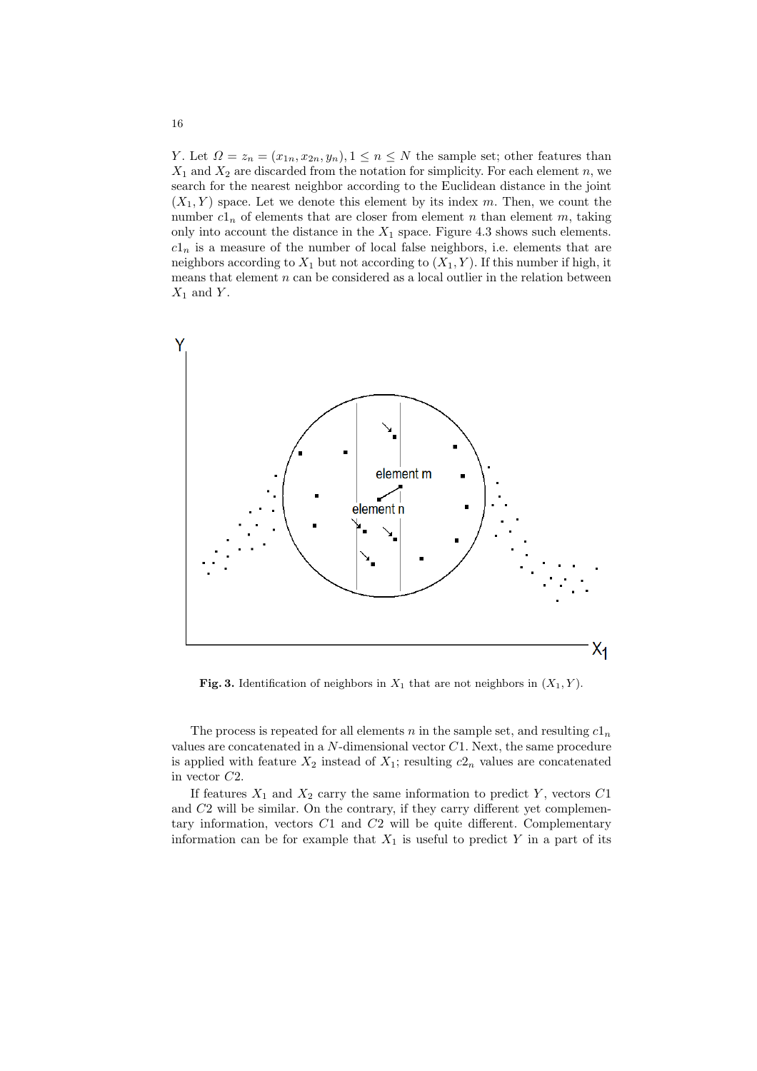Y. Let  $\Omega = z_n = (x_{1n}, x_{2n}, y_n), 1 \le n \le N$  the sample set; other features than  $X_1$  and  $X_2$  are discarded from the notation for simplicity. For each element n, we search for the nearest neighbor according to the Euclidean distance in the joint  $(X_1, Y)$  space. Let we denote this element by its index m. Then, we count the number  $c1_n$  of elements that are closer from element n than element m, taking only into account the distance in the  $X_1$  space. Figure 4.3 shows such elements.  $c1_n$  is a measure of the number of local false neighbors, i.e. elements that are neighbors according to  $X_1$  but not according to  $(X_1, Y)$ . If this number if high, it means that element  $n$  can be considered as a local outlier in the relation between  $X_1$  and Y.



Fig. 3. Identification of neighbors in  $X_1$  that are not neighbors in  $(X_1, Y)$ .

The process is repeated for all elements n in the sample set, and resulting  $c1_n$ values are concatenated in a  $N$ -dimensional vector  $C1$ . Next, the same procedure is applied with feature  $X_2$  instead of  $X_1$ ; resulting  $c2_n$  values are concatenated in vector C2.

If features  $X_1$  and  $X_2$  carry the same information to predict Y, vectors C1 and C2 will be similar. On the contrary, if they carry different yet complementary information, vectors C1 and C2 will be quite different. Complementary information can be for example that  $X_1$  is useful to predict Y in a part of its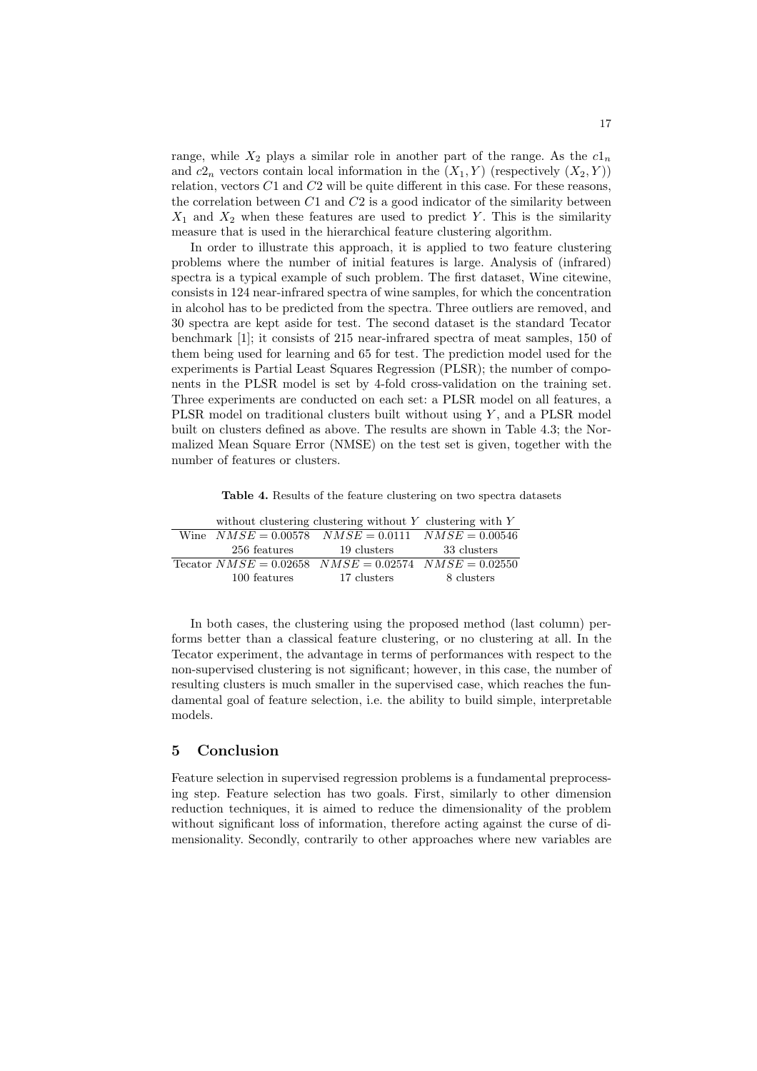range, while  $X_2$  plays a similar role in another part of the range. As the  $c1_n$ and  $c2_n$  vectors contain local information in the  $(X_1, Y)$  (respectively  $(X_2, Y)$ ) relation, vectors  $C1$  and  $C2$  will be quite different in this case. For these reasons, the correlation between  $C1$  and  $C2$  is a good indicator of the similarity between  $X_1$  and  $X_2$  when these features are used to predict Y. This is the similarity measure that is used in the hierarchical feature clustering algorithm.

In order to illustrate this approach, it is applied to two feature clustering problems where the number of initial features is large. Analysis of (infrared) spectra is a typical example of such problem. The first dataset, Wine citewine, consists in 124 near-infrared spectra of wine samples, for which the concentration in alcohol has to be predicted from the spectra. Three outliers are removed, and 30 spectra are kept aside for test. The second dataset is the standard Tecator benchmark [1]; it consists of 215 near-infrared spectra of meat samples, 150 of them being used for learning and 65 for test. The prediction model used for the experiments is Partial Least Squares Regression (PLSR); the number of components in the PLSR model is set by 4-fold cross-validation on the training set. Three experiments are conducted on each set: a PLSR model on all features, a PLSR model on traditional clusters built without using  $Y$ , and a PLSR model built on clusters defined as above. The results are shown in Table 4.3; the Normalized Mean Square Error (NMSE) on the test set is given, together with the number of features or clusters.

Table 4. Results of the feature clustering on two spectra datasets

|              | without clustering clustering without $Y$ clustering with $Y$ |             |
|--------------|---------------------------------------------------------------|-------------|
|              | Wine $NMSE = 0.00578$ $NMSE = 0.0111$ $NMSE = 0.00546$        |             |
| 256 features | 19 clusters                                                   | 33 clusters |
|              | Tecator $NMSE = 0.02658$ $NMSE = 0.02574$ $NMSE = 0.02550$    |             |
| 100 features | 17 clusters                                                   | 8 clusters  |

In both cases, the clustering using the proposed method (last column) performs better than a classical feature clustering, or no clustering at all. In the Tecator experiment, the advantage in terms of performances with respect to the non-supervised clustering is not significant; however, in this case, the number of resulting clusters is much smaller in the supervised case, which reaches the fundamental goal of feature selection, i.e. the ability to build simple, interpretable models.

# 5 Conclusion

Feature selection in supervised regression problems is a fundamental preprocessing step. Feature selection has two goals. First, similarly to other dimension reduction techniques, it is aimed to reduce the dimensionality of the problem without significant loss of information, therefore acting against the curse of dimensionality. Secondly, contrarily to other approaches where new variables are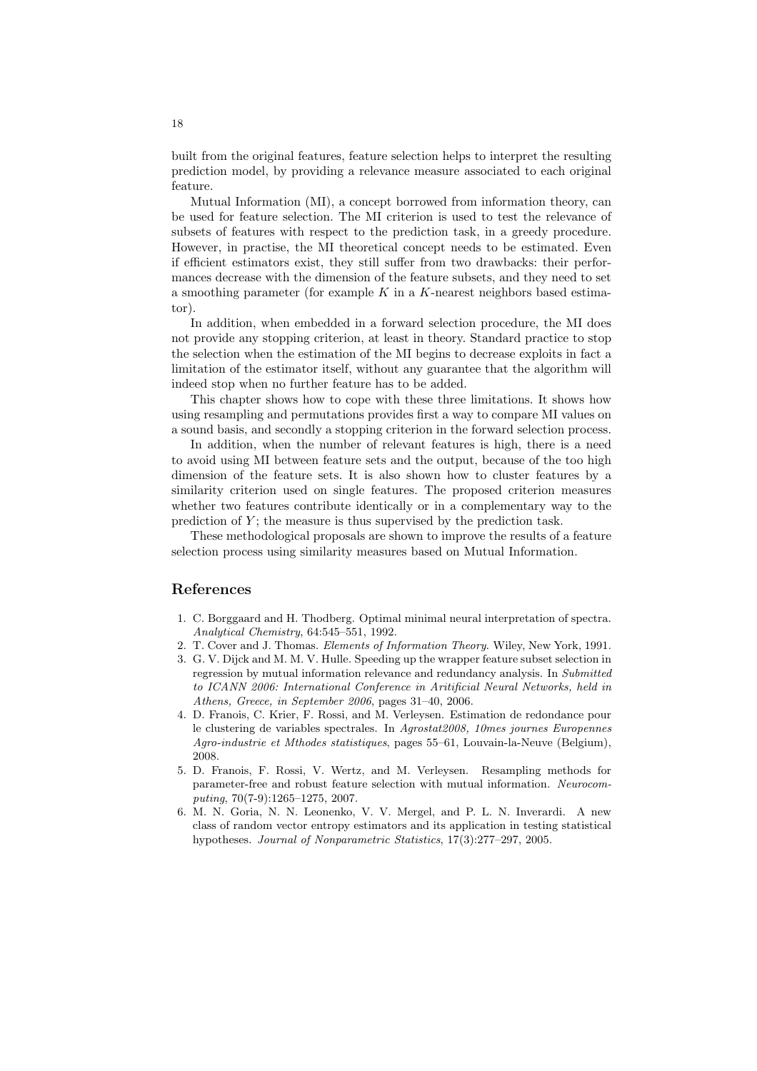built from the original features, feature selection helps to interpret the resulting prediction model, by providing a relevance measure associated to each original feature.

Mutual Information (MI), a concept borrowed from information theory, can be used for feature selection. The MI criterion is used to test the relevance of subsets of features with respect to the prediction task, in a greedy procedure. However, in practise, the MI theoretical concept needs to be estimated. Even if efficient estimators exist, they still suffer from two drawbacks: their performances decrease with the dimension of the feature subsets, and they need to set a smoothing parameter (for example  $K$  in a  $K$ -nearest neighbors based estimator).

In addition, when embedded in a forward selection procedure, the MI does not provide any stopping criterion, at least in theory. Standard practice to stop the selection when the estimation of the MI begins to decrease exploits in fact a limitation of the estimator itself, without any guarantee that the algorithm will indeed stop when no further feature has to be added.

This chapter shows how to cope with these three limitations. It shows how using resampling and permutations provides first a way to compare MI values on a sound basis, and secondly a stopping criterion in the forward selection process.

In addition, when the number of relevant features is high, there is a need to avoid using MI between feature sets and the output, because of the too high dimension of the feature sets. It is also shown how to cluster features by a similarity criterion used on single features. The proposed criterion measures whether two features contribute identically or in a complementary way to the prediction of  $Y$ ; the measure is thus supervised by the prediction task.

These methodological proposals are shown to improve the results of a feature selection process using similarity measures based on Mutual Information.

# References

- 1. C. Borggaard and H. Thodberg. Optimal minimal neural interpretation of spectra. *Analytical Chemistry*, 64:545–551, 1992.
- 2. T. Cover and J. Thomas. *Elements of Information Theory*. Wiley, New York, 1991.
- 3. G. V. Dijck and M. M. V. Hulle. Speeding up the wrapper feature subset selection in regression by mutual information relevance and redundancy analysis. In *Submitted to ICANN 2006: International Conference in Aritificial Neural Networks, held in Athens, Greece, in September 2006*, pages 31–40, 2006.
- 4. D. Franois, C. Krier, F. Rossi, and M. Verleysen. Estimation de redondance pour le clustering de variables spectrales. In *Agrostat2008, 10mes journes Europennes Agro-industrie et Mthodes statistiques*, pages 55–61, Louvain-la-Neuve (Belgium), 2008.
- 5. D. Franois, F. Rossi, V. Wertz, and M. Verleysen. Resampling methods for parameter-free and robust feature selection with mutual information. *Neurocomputing*, 70(7-9):1265–1275, 2007.
- 6. M. N. Goria, N. N. Leonenko, V. V. Mergel, and P. L. N. Inverardi. A new class of random vector entropy estimators and its application in testing statistical hypotheses. *Journal of Nonparametric Statistics*, 17(3):277–297, 2005.